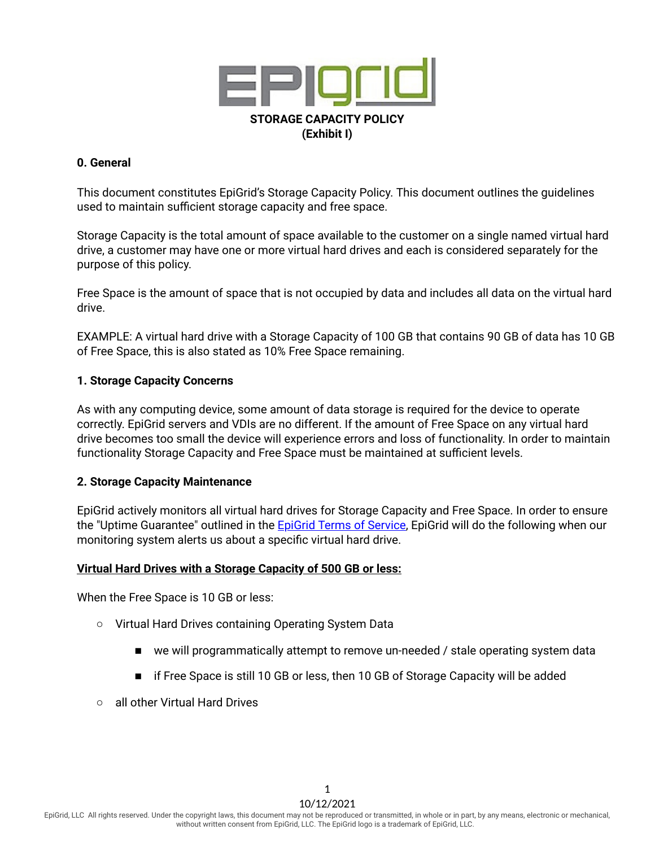

## **0. General**

This document constitutes EpiGrid's Storage Capacity Policy. This document outlines the guidelines used to maintain sufficient storage capacity and free space.

Storage Capacity is the total amount of space available to the customer on a single named virtual hard drive, a customer may have one or more virtual hard drives and each is considered separately for the purpose of this policy.

Free Space is the amount of space that is not occupied by data and includes all data on the virtual hard drive.

EXAMPLE: A virtual hard drive with a Storage Capacity of 100 GB that contains 90 GB of data has 10 GB of Free Space, this is also stated as 10% Free Space remaining.

## **1. Storage Capacity Concerns**

As with any computing device, some amount of data storage is required for the device to operate correctly. EpiGrid servers and VDIs are no different. If the amount of Free Space on any virtual hard drive becomes too small the device will experience errors and loss of functionality. In order to maintain functionality Storage Capacity and Free Space must be maintained at sufficient levels.

#### **2. Storage Capacity Maintenance**

EpiGrid actively monitors all virtual hard drives for Storage Capacity and Free Space. In order to ensure the "Uptime Guarantee" outlined in the EpiGrid Terms of [Service,](https://www.epigrid.com/legal) EpiGrid will do the following when our monitoring system alerts us about a specific virtual hard drive.

#### **Virtual Hard Drives with a Storage Capacity of 500 GB or less:**

When the Free Space is 10 GB or less:

- Virtual Hard Drives containing Operating System Data
	- we will programmatically attempt to remove un-needed / stale operating system data
	- if Free Space is still 10 GB or less, then 10 GB of Storage Capacity will be added
- all other Virtual Hard Drives